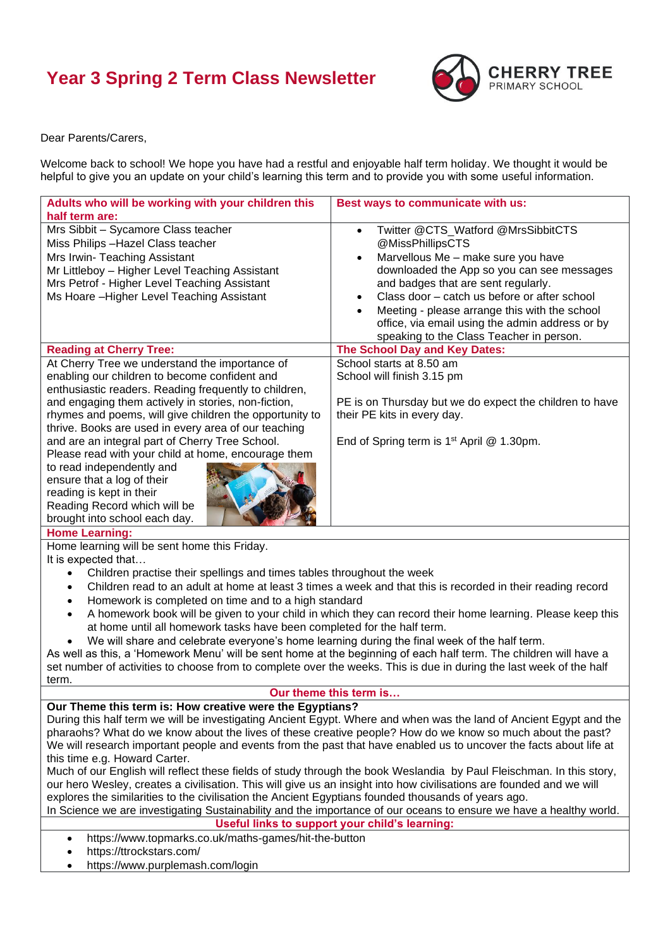## **Year 3 Spring 2 Term Class Newsletter**



Dear Parents/Carers,

Welcome back to school! We hope you have had a restful and enjoyable half term holiday. We thought it would be helpful to give you an update on your child's learning this term and to provide you with some useful information.

| Adults who will be working with your children this<br>half term are:                                                     | Best ways to communicate with us:                                                                                                                                                                                                |  |
|--------------------------------------------------------------------------------------------------------------------------|----------------------------------------------------------------------------------------------------------------------------------------------------------------------------------------------------------------------------------|--|
| Mrs Sibbit - Sycamore Class teacher                                                                                      | Twitter @CTS_Watford @MrsSibbitCTS<br>$\bullet$                                                                                                                                                                                  |  |
| Miss Philips - Hazel Class teacher                                                                                       | @MissPhillipsCTS                                                                                                                                                                                                                 |  |
| Mrs Irwin- Teaching Assistant                                                                                            | Marvellous Me - make sure you have<br>$\bullet$                                                                                                                                                                                  |  |
| Mr Littleboy - Higher Level Teaching Assistant                                                                           | downloaded the App so you can see messages                                                                                                                                                                                       |  |
| Mrs Petrof - Higher Level Teaching Assistant                                                                             | and badges that are sent regularly.                                                                                                                                                                                              |  |
| Ms Hoare - Higher Level Teaching Assistant                                                                               | Class door - catch us before or after school<br>$\bullet$                                                                                                                                                                        |  |
|                                                                                                                          | Meeting - please arrange this with the school                                                                                                                                                                                    |  |
|                                                                                                                          | office, via email using the admin address or by                                                                                                                                                                                  |  |
|                                                                                                                          | speaking to the Class Teacher in person.                                                                                                                                                                                         |  |
| <b>Reading at Cherry Tree:</b>                                                                                           | The School Day and Key Dates:                                                                                                                                                                                                    |  |
| At Cherry Tree we understand the importance of                                                                           | School starts at 8.50 am                                                                                                                                                                                                         |  |
| enabling our children to become confident and                                                                            | School will finish 3.15 pm                                                                                                                                                                                                       |  |
| enthusiastic readers. Reading frequently to children,                                                                    |                                                                                                                                                                                                                                  |  |
| and engaging them actively in stories, non-fiction,                                                                      | PE is on Thursday but we do expect the children to have                                                                                                                                                                          |  |
| rhymes and poems, will give children the opportunity to                                                                  | their PE kits in every day.                                                                                                                                                                                                      |  |
| thrive. Books are used in every area of our teaching                                                                     |                                                                                                                                                                                                                                  |  |
| and are an integral part of Cherry Tree School.                                                                          | End of Spring term is 1 <sup>st</sup> April @ 1.30pm.                                                                                                                                                                            |  |
| Please read with your child at home, encourage them                                                                      |                                                                                                                                                                                                                                  |  |
| to read independently and                                                                                                |                                                                                                                                                                                                                                  |  |
| ensure that a log of their                                                                                               |                                                                                                                                                                                                                                  |  |
| reading is kept in their                                                                                                 |                                                                                                                                                                                                                                  |  |
| Reading Record which will be                                                                                             |                                                                                                                                                                                                                                  |  |
| brought into school each day.                                                                                            |                                                                                                                                                                                                                                  |  |
| <b>Home Learning:</b>                                                                                                    |                                                                                                                                                                                                                                  |  |
| Home learning will be sent home this Friday.                                                                             |                                                                                                                                                                                                                                  |  |
| It is expected that                                                                                                      |                                                                                                                                                                                                                                  |  |
| Children practise their spellings and times tables throughout the week<br>$\bullet$                                      |                                                                                                                                                                                                                                  |  |
| Children read to an adult at home at least 3 times a week and that this is recorded in their reading record<br>$\bullet$ |                                                                                                                                                                                                                                  |  |
| Homework is completed on time and to a high standard<br>$\bullet$                                                        |                                                                                                                                                                                                                                  |  |
| A homework book will be given to your child in which they can record their home learning. Please keep this               |                                                                                                                                                                                                                                  |  |
| at home until all homework tasks have been completed for the half term.                                                  |                                                                                                                                                                                                                                  |  |
| We will share and celebrate everyone's home learning during the final week of the half term.                             |                                                                                                                                                                                                                                  |  |
| As well as this, a 'Homework Menu' will be sent home at the beginning of each half term. The children will have a        |                                                                                                                                                                                                                                  |  |
| set number of activities to choose from to complete over the weeks. This is due in during the last week of the half      |                                                                                                                                                                                                                                  |  |
| term.                                                                                                                    |                                                                                                                                                                                                                                  |  |
| Our theme this term is                                                                                                   |                                                                                                                                                                                                                                  |  |
| Our Theme this term is: How creative were the Egyptians?                                                                 |                                                                                                                                                                                                                                  |  |
| During this half term we will be investigating Ancient Egypt. Where and when was the land of Ancient Egypt and the       |                                                                                                                                                                                                                                  |  |
|                                                                                                                          | pharaohs? What do we know about the lives of these creative people? How do we know so much about the past?<br>We will research important people and events from the past that have enabled us to uncover the facts about life at |  |
|                                                                                                                          |                                                                                                                                                                                                                                  |  |
|                                                                                                                          |                                                                                                                                                                                                                                  |  |
| this time e.g. Howard Carter.                                                                                            |                                                                                                                                                                                                                                  |  |
| our hero Wesley, creates a civilisation. This will give us an insight into how civilisations are founded and we will     | Much of our English will reflect these fields of study through the book Weslandia by Paul Fleischman. In this story,                                                                                                             |  |

In Science we are investigating Sustainability and the importance of our oceans to ensure we have a healthy world. **Useful links to support your child's learning:**

• <https://www.topmarks.co.uk/maths-games/hit-the-button>

• <https://ttrockstars.com/>

• [https://www.purplemash.com/login](https://www.purplemash.com/login/)